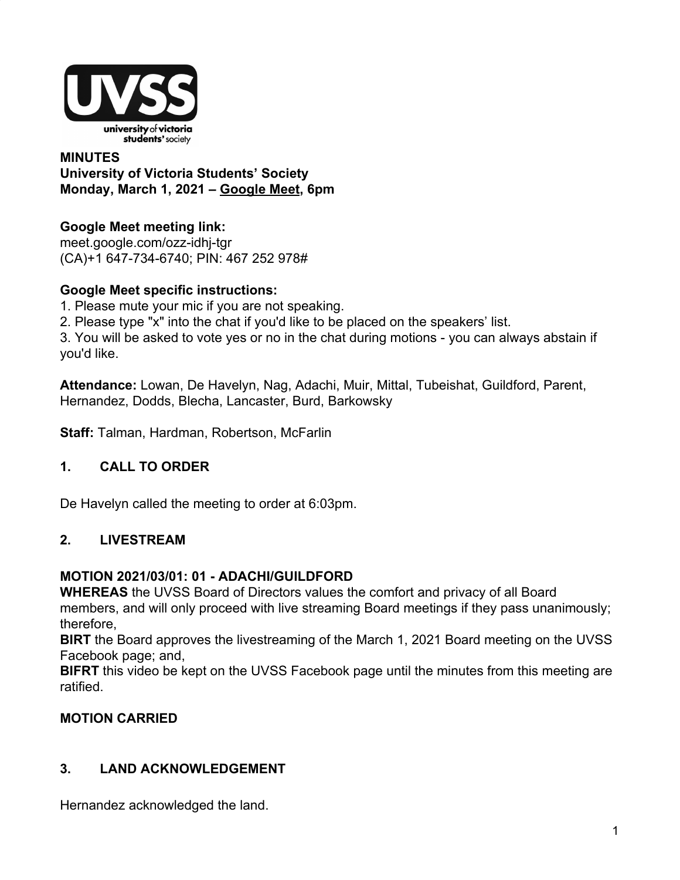

### **MINUTES University of Victoria Students' Society Monday, March 1, 2021 – [Google Meet](http://meet.google.com/ozz-idhj-tgr), 6pm**

## **Google Meet meeting link:**

[meet.google.com/ozz-idhj-tgr](https://meet.google.com/ozz-idhj-tgr?hs=122&authuser=2) (CA)+1 647-734-6740; PIN: 467 252 978#

### **Google Meet specific instructions:**

1. Please mute your mic if you are not speaking.

2. Please type "x" into the chat if you'd like to be placed on the speakers' list.

3. You will be asked to vote yes or no in the chat during motions - you can always abstain if you'd like.

**Attendance:** Lowan, De Havelyn, Nag, Adachi, Muir, Mittal, Tubeishat, Guildford, Parent, Hernandez, Dodds, Blecha, Lancaster, Burd, Barkowsky

**Staff:** Talman, Hardman, Robertson, McFarlin

### **1. CALL TO ORDER**

De Havelyn called the meeting to order at 6:03pm.

## **2. LIVESTREAM**

## **MOTION 2021/03/01: 01 - ADACHI/GUILDFORD**

**WHEREAS** the UVSS Board of Directors values the comfort and privacy of all Board members, and will only proceed with live streaming Board meetings if they pass unanimously;

therefore, **BIRT** the Board approves the livestreaming of the March 1, 2021 Board meeting on the UVSS

Facebook page; and,

**BIFRT** this video be kept on the UVSS Facebook page until the minutes from this meeting are ratified.

### **MOTION CARRIED**

### **3. LAND ACKNOWLEDGEMENT**

Hernandez acknowledged the land.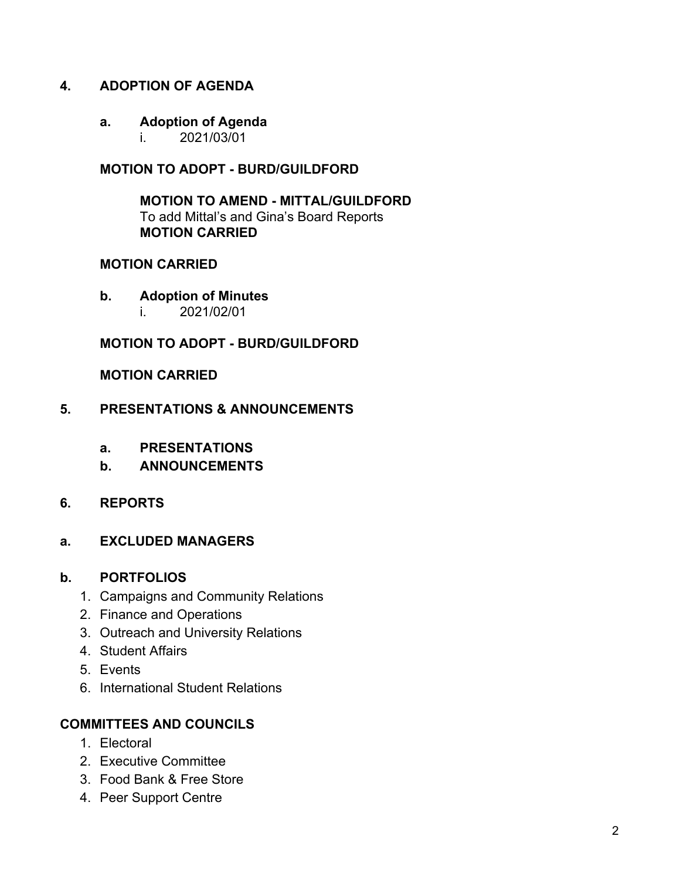### **4. ADOPTION OF AGENDA**

#### **a. Adoption of Agenda**

i. 2021/03/01

#### **MOTION TO ADOPT - BURD/GUILDFORD**

**MOTION TO AMEND - MITTAL/GUILDFORD** To add Mittal's and Gina's Board Reports **MOTION CARRIED**

### **MOTION CARRIED**

#### **b. Adoption of Minutes**

i. 2021/02/01

### **MOTION TO ADOPT - BURD/GUILDFORD**

**MOTION CARRIED**

### **5. PRESENTATIONS & ANNOUNCEMENTS**

- **a. PRESENTATIONS**
- **b. ANNOUNCEMENTS**
- **6. REPORTS**

#### **a. EXCLUDED MANAGERS**

#### **b. PORTFOLIOS**

- 1. Campaigns and Community Relations
- 2. Finance and Operations
- 3. Outreach and University Relations
- 4. Student Affairs
- 5. Events
- 6. International Student Relations

### **COMMITTEES AND COUNCILS**

- 1. Electoral
- 2. Executive Committee
- 3. Food Bank & Free Store
- 4. Peer Support Centre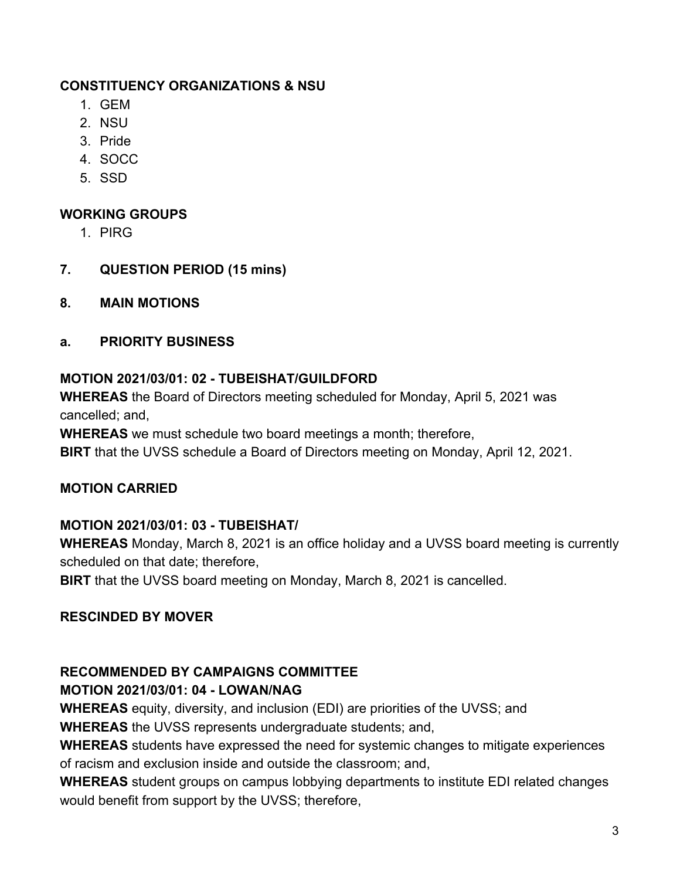## **CONSTITUENCY ORGANIZATIONS & NSU**

- 1. GEM
- 2. NSU
- 3. Pride
- 4. SOCC
- 5. SSD

# **WORKING GROUPS**

- 1. PIRG
- **7. QUESTION PERIOD (15 mins)**
- **8. MAIN MOTIONS**
- **a. PRIORITY BUSINESS**

## **MOTION 2021/03/01: 02 - TUBEISHAT/GUILDFORD**

**WHEREAS** the Board of Directors meeting scheduled for Monday, April 5, 2021 was cancelled; and,

**WHEREAS** we must schedule two board meetings a month; therefore,

**BIRT** that the UVSS schedule a Board of Directors meeting on Monday, April 12, 2021.

## **MOTION CARRIED**

## **MOTION 2021/03/01: 03 - TUBEISHAT/**

**WHEREAS** Monday, March 8, 2021 is an office holiday and a UVSS board meeting is currently scheduled on that date; therefore,

**BIRT** that the UVSS board meeting on Monday, March 8, 2021 is cancelled.

# **RESCINDED BY MOVER**

## **RECOMMENDED BY CAMPAIGNS COMMITTEE**

**MOTION 2021/03/01: 04 - LOWAN/NAG**

**WHEREAS** equity, diversity, and inclusion (EDI) are priorities of the UVSS; and

**WHEREAS** the UVSS represents undergraduate students; and,

**WHEREAS** students have expressed the need for systemic changes to mitigate experiences of racism and exclusion inside and outside the classroom; and,

**WHEREAS** student groups on campus lobbying departments to institute EDI related changes would benefit from support by the UVSS; therefore,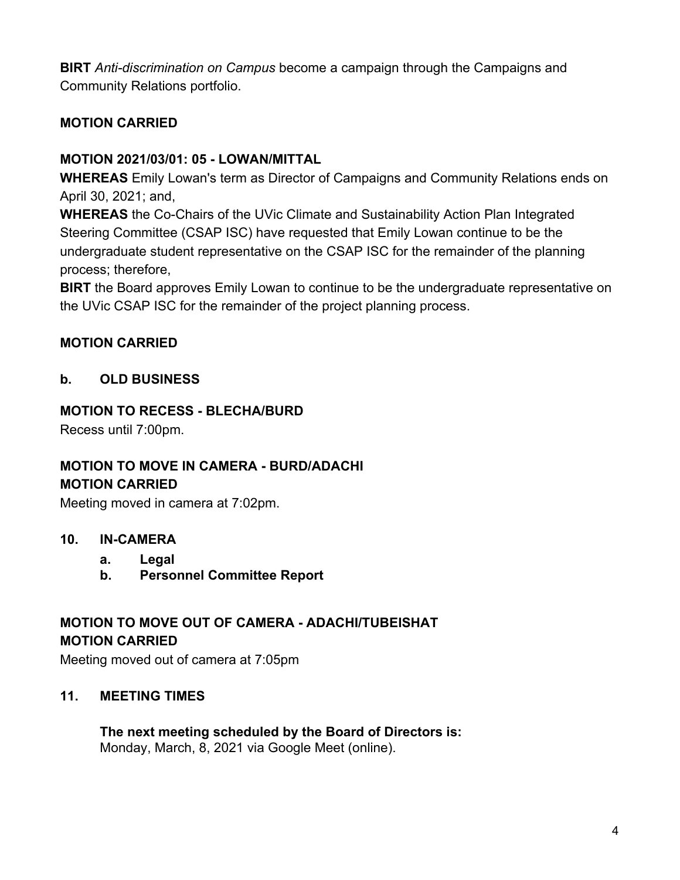**BIRT** *Anti-discrimination on Campus* become a campaign through the Campaigns and Community Relations portfolio.

## **MOTION CARRIED**

## **MOTION 2021/03/01: 05 - LOWAN/MITTAL**

**WHEREAS** Emily Lowan's term as Director of Campaigns and Community Relations ends on April 30, 2021; and,

**WHEREAS** the Co-Chairs of the UVic Climate and Sustainability Action Plan Integrated Steering Committee (CSAP ISC) have requested that Emily Lowan continue to be the undergraduate student representative on the CSAP ISC for the remainder of the planning process; therefore,

**BIRT** the Board approves Emily Lowan to continue to be the undergraduate representative on the UVic CSAP ISC for the remainder of the project planning process.

## **MOTION CARRIED**

### **b. OLD BUSINESS**

### **MOTION TO RECESS - BLECHA/BURD**

Recess until 7:00pm.

# **MOTION TO MOVE IN CAMERA - BURD/ADACHI MOTION CARRIED**

Meeting moved in camera at 7:02pm.

### **10. IN-CAMERA**

- **a. Legal**
- **b. Personnel Committee Report**

# **MOTION TO MOVE OUT OF CAMERA - ADACHI/TUBEISHAT MOTION CARRIED**

Meeting moved out of camera at 7:05pm

### **11. MEETING TIMES**

**The next meeting scheduled by the Board of Directors is:** Monday, March, 8, 2021 via Google Meet (online).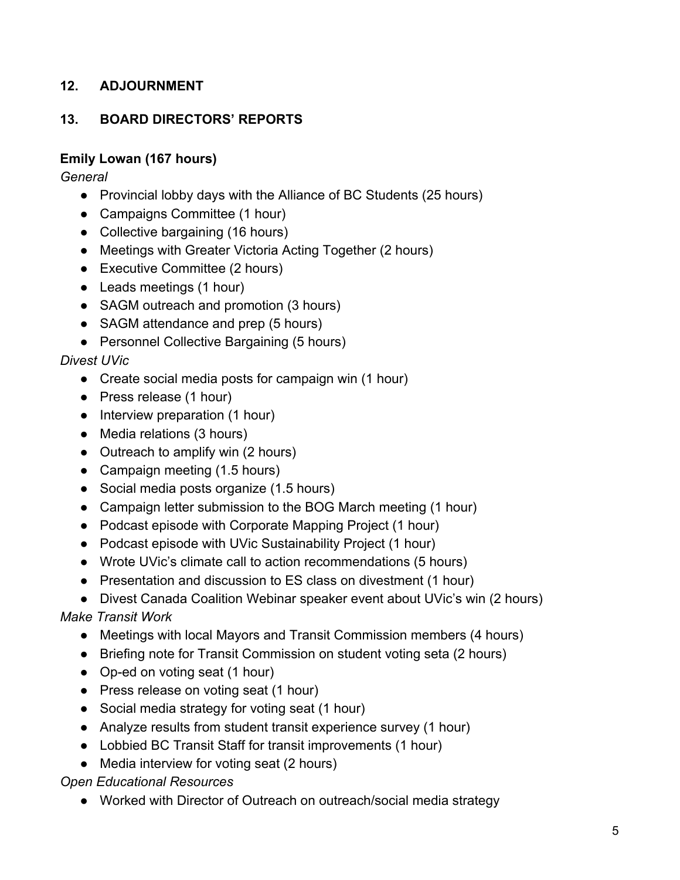## **12. ADJOURNMENT**

## **13. BOARD DIRECTORS' REPORTS**

### **Emily Lowan (167 hours)**

*General*

- Provincial lobby days with the Alliance of BC Students (25 hours)
- Campaigns Committee (1 hour)
- Collective bargaining (16 hours)
- Meetings with Greater Victoria Acting Together (2 hours)
- Executive Committee (2 hours)
- Leads meetings (1 hour)
- SAGM outreach and promotion (3 hours)
- SAGM attendance and prep (5 hours)
- Personnel Collective Bargaining (5 hours)

*Divest UVic*

- Create social media posts for campaign win (1 hour)
- Press release (1 hour)
- Interview preparation (1 hour)
- Media relations (3 hours)
- Outreach to amplify win (2 hours)
- Campaign meeting (1.5 hours)
- Social media posts organize (1.5 hours)
- Campaign letter submission to the BOG March meeting (1 hour)
- Podcast episode with Corporate Mapping Project (1 hour)
- Podcast episode with UVic Sustainability Project (1 hour)
- Wrote UVic's climate call to action recommendations (5 hours)
- Presentation and discussion to ES class on divestment (1 hour)
- Divest Canada Coalition Webinar speaker event about UVic's win (2 hours)

*Make Transit Work*

- Meetings with local Mayors and Transit Commission members (4 hours)
- Briefing note for Transit Commission on student voting seta (2 hours)
- Op-ed on voting seat (1 hour)
- Press release on voting seat (1 hour)
- Social media strategy for voting seat (1 hour)
- Analyze results from student transit experience survey (1 hour)
- Lobbied BC Transit Staff for transit improvements (1 hour)
- Media interview for voting seat (2 hours)

*Open Educational Resources*

● Worked with Director of Outreach on outreach/social media strategy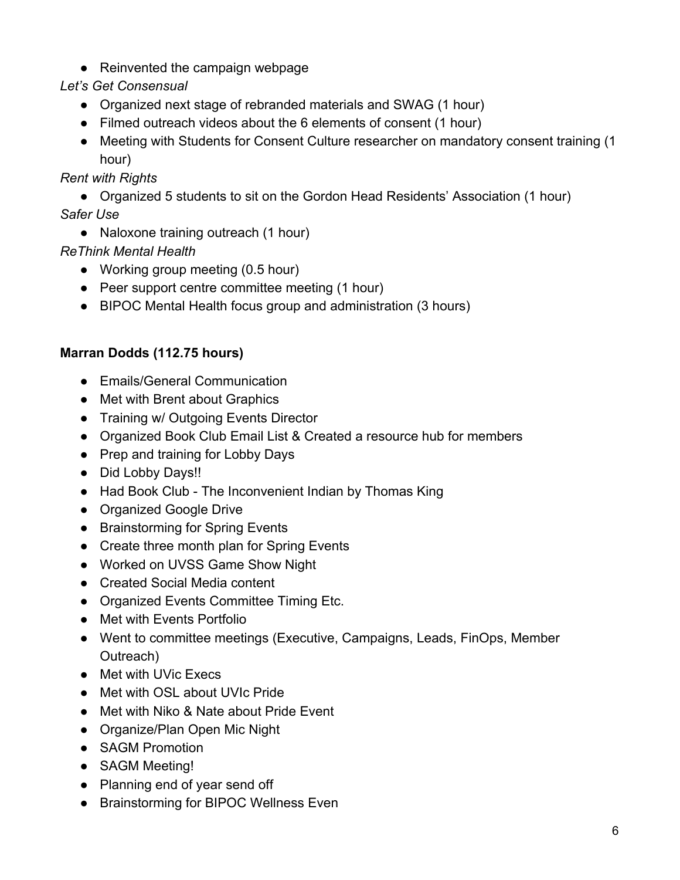● Reinvented the campaign webpage

# *Let's Get Consensual*

- Organized next stage of rebranded materials and SWAG (1 hour)
- Filmed outreach videos about the 6 elements of consent (1 hour)
- Meeting with Students for Consent Culture researcher on mandatory consent training (1) hour)

*Rent with Rights*

● Organized 5 students to sit on the Gordon Head Residents' Association (1 hour) *Safer Use*

• Naloxone training outreach (1 hour)

# *ReThink Mental Health*

- Working group meeting (0.5 hour)
- Peer support centre committee meeting (1 hour)
- BIPOC Mental Health focus group and administration (3 hours)

# **Marran Dodds (112.75 hours)**

- Emails/General Communication
- Met with Brent about Graphics
- Training w/ Outgoing Events Director
- Organized Book Club Email List & Created a resource hub for members
- Prep and training for Lobby Days
- Did Lobby Days!!
- Had Book Club The Inconvenient Indian by Thomas King
- Organized Google Drive
- Brainstorming for Spring Events
- Create three month plan for Spring Events
- Worked on UVSS Game Show Night
- Created Social Media content
- Organized Events Committee Timing Etc.
- Met with Events Portfolio
- Went to committee meetings (Executive, Campaigns, Leads, FinOps, Member Outreach)
- Met with UVic Execs
- Met with OSL about UVIc Pride
- Met with Niko & Nate about Pride Event
- Organize/Plan Open Mic Night
- SAGM Promotion
- SAGM Meeting!
- Planning end of year send off
- Brainstorming for BIPOC Wellness Even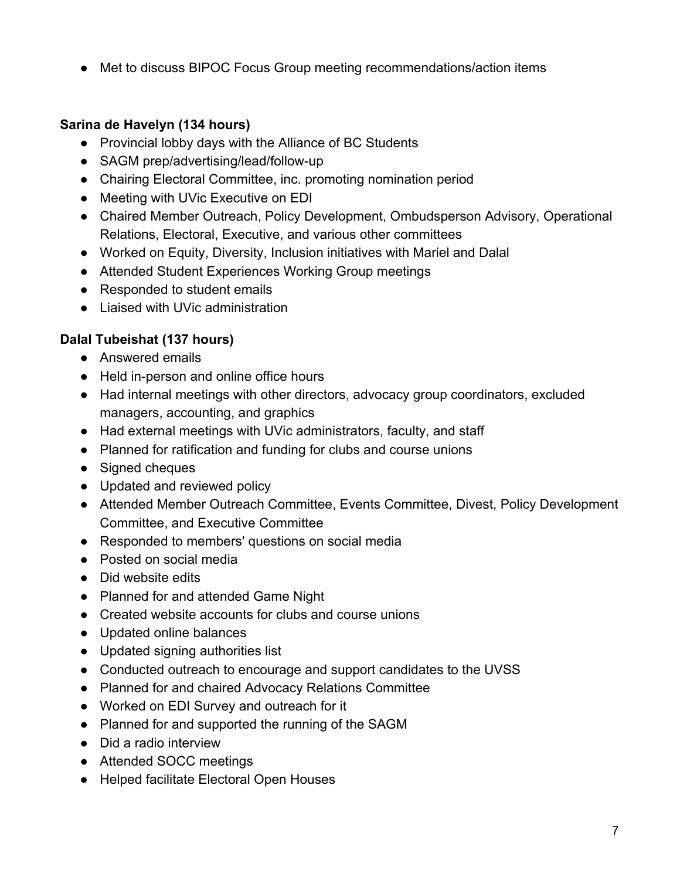● Met to discuss BIPOC Focus Group meeting recommendations/action items

## **Sarina de Havelyn (134 hours)**

- **●** Provincial lobby days with the Alliance of BC Students
- SAGM prep/advertising/lead/follow-up
- Chairing Electoral Committee, inc. promoting nomination period
- Meeting with UVic Executive on EDI
- Chaired Member Outreach, Policy Development, Ombudsperson Advisory, Operational Relations, Electoral, Executive, and various other committees
- Worked on Equity, Diversity, Inclusion initiatives with Mariel and Dalal
- Attended Student Experiences Working Group meetings
- Responded to student emails
- Liaised with UVic administration

# **Dalal Tubeishat (137 hours)**

- Answered emails
- Held in-person and online office hours
- Had internal meetings with other directors, advocacy group coordinators, excluded managers, accounting, and graphics
- Had external meetings with UVic administrators, faculty, and staff
- Planned for ratification and funding for clubs and course unions
- Signed cheques
- Updated and reviewed policy
- Attended Member Outreach Committee, Events Committee, Divest, Policy Development Committee, and Executive Committee
- Responded to members' questions on social media
- Posted on social media
- Did website edits
- Planned for and attended Game Night
- Created website accounts for clubs and course unions
- Updated online balances
- Updated signing authorities list
- Conducted outreach to encourage and support candidates to the UVSS
- Planned for and chaired Advocacy Relations Committee
- Worked on EDI Survey and outreach for it
- Planned for and supported the running of the SAGM
- Did a radio interview
- Attended SOCC meetings
- Helped facilitate Electoral Open Houses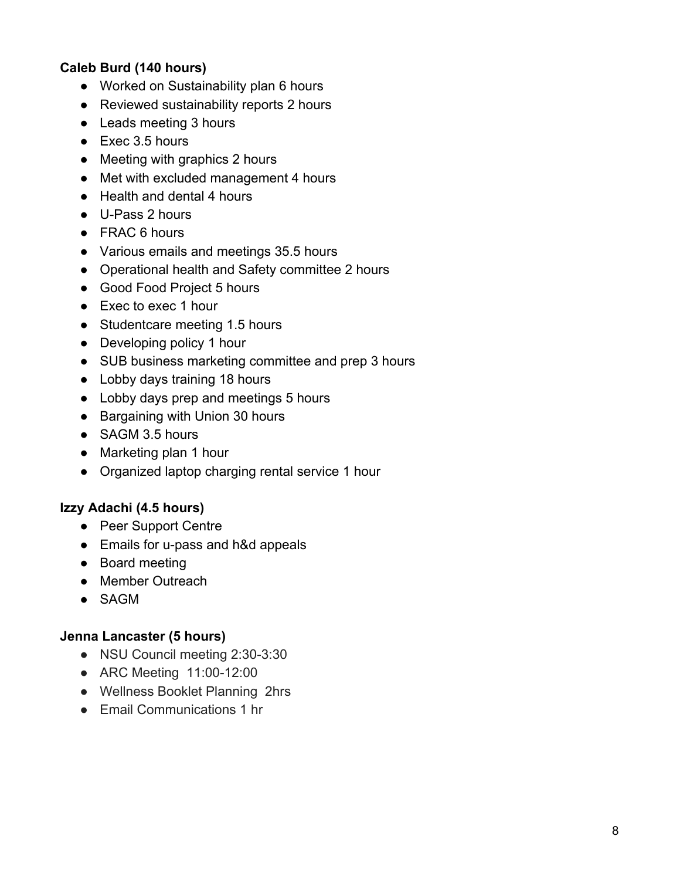## **Caleb Burd (140 hours)**

- Worked on Sustainability plan 6 hours
- Reviewed sustainability reports 2 hours
- Leads meeting 3 hours
- Exec 3.5 hours
- Meeting with graphics 2 hours
- Met with excluded management 4 hours
- Health and dental 4 hours
- U-Pass 2 hours
- FRAC 6 hours
- Various emails and meetings 35.5 hours
- Operational health and Safety committee 2 hours
- Good Food Project 5 hours
- Exec to exec 1 hour
- Studentcare meeting 1.5 hours
- Developing policy 1 hour
- SUB business marketing committee and prep 3 hours
- Lobby days training 18 hours
- Lobby days prep and meetings 5 hours
- Bargaining with Union 30 hours
- SAGM 3.5 hours
- Marketing plan 1 hour
- Organized laptop charging rental service 1 hour

### **Izzy Adachi (4.5 hours)**

- Peer Support Centre
- Emails for u-pass and h&d appeals
- Board meeting
- Member Outreach
- SAGM

#### **Jenna Lancaster (5 hours)**

- NSU Council meeting 2:30-3:30
- ARC Meeting 11:00-12:00
- Wellness Booklet Planning 2hrs
- Email Communications 1 hr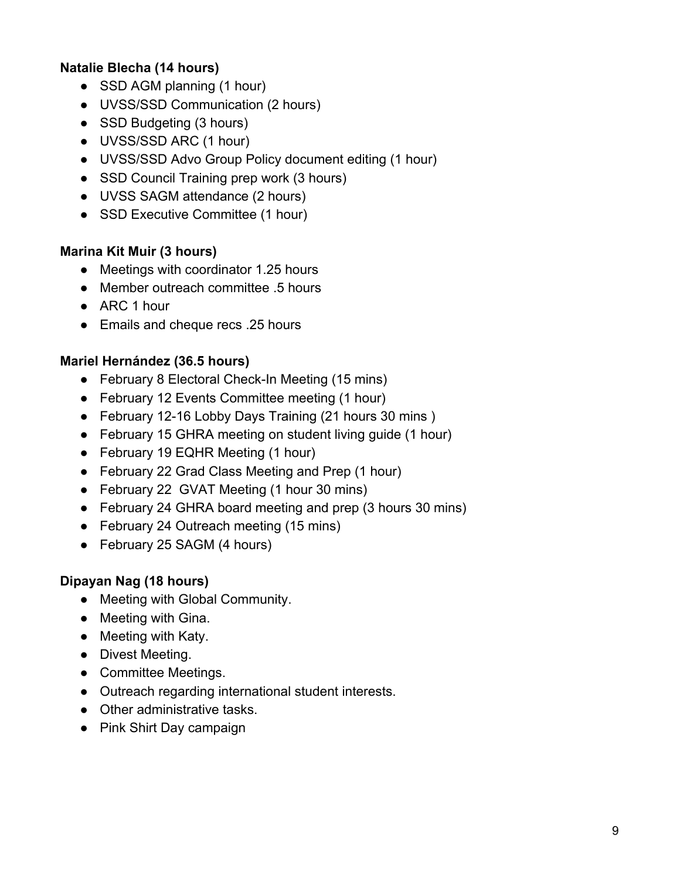## **Natalie Blecha (14 hours)**

- SSD AGM planning (1 hour)
- UVSS/SSD Communication (2 hours)
- SSD Budgeting (3 hours)
- UVSS/SSD ARC (1 hour)
- UVSS/SSD Advo Group Policy document editing (1 hour)
- SSD Council Training prep work (3 hours)
- UVSS SAGM attendance (2 hours)
- SSD Executive Committee (1 hour)

### **Marina Kit Muir (3 hours)**

- Meetings with coordinator 1.25 hours
- Member outreach committee .5 hours
- ARC 1 hour
- Emails and cheque recs .25 hours

## **Mariel Hernández (36.5 hours)**

- February 8 Electoral Check-In Meeting (15 mins)
- February 12 Events Committee meeting (1 hour)
- February 12-16 Lobby Days Training (21 hours 30 mins )
- February 15 GHRA meeting on student living quide (1 hour)
- February 19 EQHR Meeting (1 hour)
- February 22 Grad Class Meeting and Prep (1 hour)
- February 22 GVAT Meeting (1 hour 30 mins)
- February 24 GHRA board meeting and prep (3 hours 30 mins)
- February 24 Outreach meeting (15 mins)
- February 25 SAGM (4 hours)

## **Dipayan Nag (18 hours)**

- Meeting with Global Community.
- Meeting with Gina.
- Meeting with Katy.
- Divest Meeting.
- Committee Meetings.
- Outreach regarding international student interests.
- Other administrative tasks.
- Pink Shirt Day campaign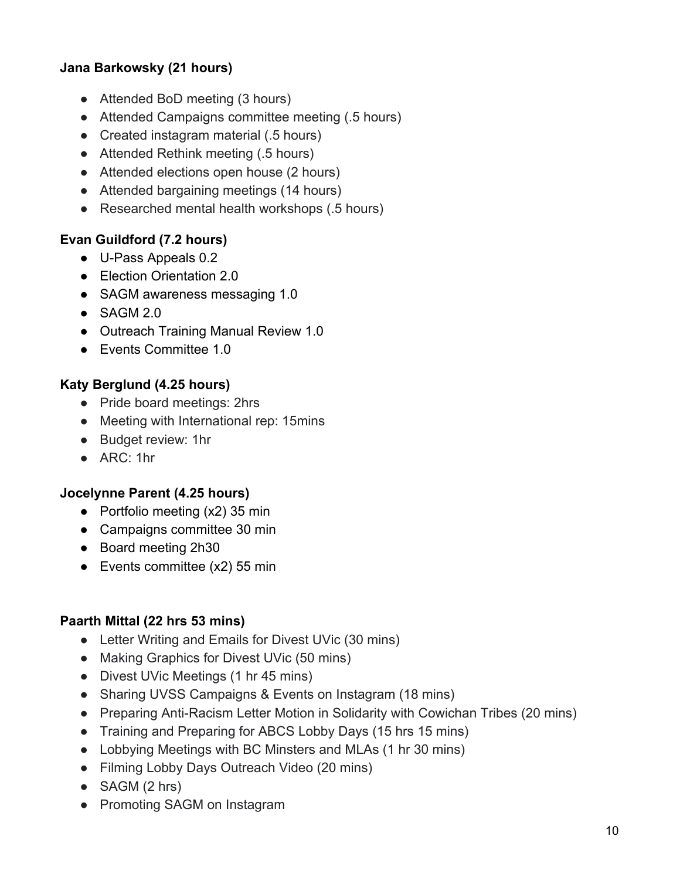## **Jana Barkowsky (21 hours)**

- Attended BoD meeting (3 hours)
- Attended Campaigns committee meeting (.5 hours)
- Created instagram material (.5 hours)
- Attended Rethink meeting (.5 hours)
- Attended elections open house (2 hours)
- Attended bargaining meetings (14 hours)
- Researched mental health workshops (.5 hours)

## **Evan Guildford (7.2 hours)**

- U-Pass Appeals 0.2
- Election Orientation 2.0
- SAGM awareness messaging 1.0
- $\bullet$  SAGM 2.0
- Outreach Training Manual Review 1.0
- Events Committee 1.0

## **Katy Berglund (4.25 hours)**

- Pride board meetings: 2hrs
- Meeting with International rep: 15mins
- Budget review: 1hr
- ARC: 1hr

### **Jocelynne Parent (4.25 hours)**

- Portfolio meeting  $(x2)$  35 min
- Campaigns committee 30 min
- Board meeting 2h30
- $\bullet$  Events committee (x2) 55 min

### **Paarth Mittal (22 hrs 53 mins)**

- Letter Writing and Emails for Divest UVic (30 mins)
- Making Graphics for Divest UVic (50 mins)
- Divest UVic Meetings (1 hr 45 mins)
- Sharing UVSS Campaigns & Events on Instagram (18 mins)
- Preparing Anti-Racism Letter Motion in Solidarity with Cowichan Tribes (20 mins)
- Training and Preparing for ABCS Lobby Days (15 hrs 15 mins)
- Lobbying Meetings with BC Minsters and MLAs (1 hr 30 mins)
- Filming Lobby Days Outreach Video (20 mins)
- $\bullet$  SAGM (2 hrs)
- Promoting SAGM on Instagram